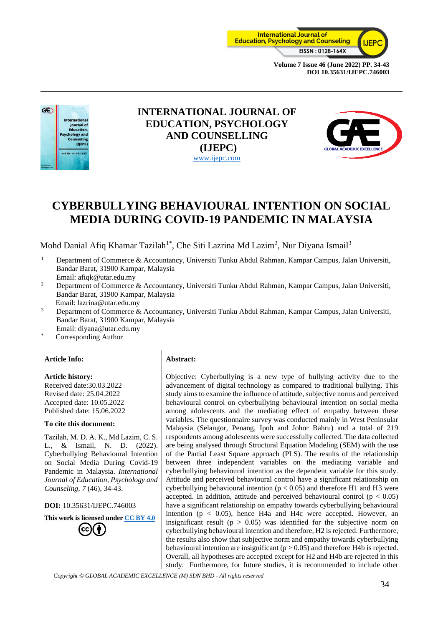



# **INTERNATIONAL JOURNAL OF EDUCATION, PSYCHOLOGY AND COUNSELLING (IJEPC)** [www.ijepc.com](http://www.ijepc.com/)



# **CYBERBULLYING BEHAVIOURAL INTENTION ON SOCIAL MEDIA DURING COVID-19 PANDEMIC IN MALAYSIA**

Mohd Danial Afiq Khamar Tazilah<sup>1\*</sup>, Che Siti Lazrina Md Lazim<sup>2</sup>, Nur Diyana Ismail<sup>3</sup>

- <sup>1</sup> Department of Commerce & Accountancy, Universiti Tunku Abdul Rahman, Kampar Campus, Jalan Universiti, Bandar Barat, 31900 Kampar, Malaysia Email: afiqk@utar.edu.my
- <sup>2</sup> Department of Commerce & Accountancy, Universiti Tunku Abdul Rahman, Kampar Campus, Jalan Universiti, Bandar Barat, 31900 Kampar, Malaysia

Email: lazrina@utar.edu.my

- <sup>3</sup> Department of Commerce & Accountancy, Universiti Tunku Abdul Rahman, Kampar Campus, Jalan Universiti, Bandar Barat, 31900 Kampar, Malaysia
- Email: diyana@utar.edu.my
- Corresponding Author

#### **Article Info: Abstract:**

#### **Article history:**

Received date:30.03.2022 Revised date: 25.04.2022 Accepted date: 10.05.2022 Published date: 15.06.2022

#### **To cite this document:**

Tazilah, M. D. A. K., Md Lazim, C. S. L., & Ismail, N. D. (2022). Cyberbullying Behavioural Intention on Social Media During Covid-19 Pandemic in Malaysia. *International Journal of Education, Psychology and Counseling, 7* (46), 34-43.

#### **DOI:** 10.35631/IJEPC.746003

**This work is licensed under [CC BY 4.0](https://creativecommons.org/licenses/by/4.0/?ref=chooser-v1)**



Objective: Cyberbullying is a new type of bullying activity due to the advancement of digital technology as compared to traditional bullying. This study aims to examine the influence of attitude, subjective norms and perceived behavioural control on cyberbullying behavioural intention on social media among adolescents and the mediating effect of empathy between these variables. The questionnaire survey was conducted mainly in West Peninsular Malaysia (Selangor, Penang, Ipoh and Johor Bahru) and a total of 219 respondents among adolescents were successfully collected. The data collected are being analysed through Structural Equation Modeling (SEM) with the use of the Partial Least Square approach (PLS). The results of the relationship between three independent variables on the mediating variable and cyberbullying behavioural intention as the dependent variable for this study. Attitude and perceived behavioural control have a significant relationship on cyberbullying behavioural intention ( $p < 0.05$ ) and therefore H1 and H3 were accepted. In addition, attitude and perceived behavioural control ( $p < 0.05$ ) have a significant relationship on empathy towards cyberbullying behavioural intention ( $p < 0.05$ ), hence H4a and H4c were accepted. However, an insignificant result ( $p > 0.05$ ) was identified for the subjective norm on cyberbullying behavioural intention and therefore, H2 is rejected. Furthermore, the results also show that subjective norm and empathy towards cyberbullying behavioural intention are insignificant (p > 0.05) and therefore H4b is rejected. Overall, all hypotheses are accepted except for H2 and H4b are rejected in this study. Furthermore, for future studies, it is recommended to include other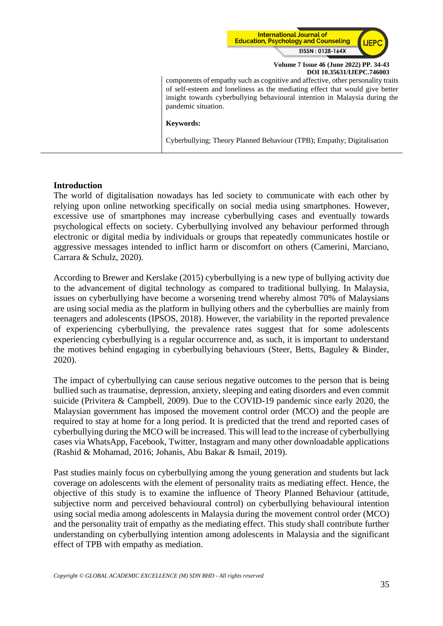

components of empathy such as cognitive and affective, other personality traits of self-esteem and loneliness as the mediating effect that would give better insight towards cyberbullying behavioural intention in Malaysia during the pandemic situation.

#### **Keywords:**

Cyberbullying; Theory Planned Behaviour (TPB); Empathy; Digitalisation

# **Introduction**

The world of digitalisation nowadays has led society to communicate with each other by relying upon online networking specifically on social media using smartphones. However, excessive use of smartphones may increase cyberbullying cases and eventually towards psychological effects on society. Cyberbullying involved any behaviour performed through electronic or digital media by individuals or groups that repeatedly communicates hostile or aggressive messages intended to inflict harm or discomfort on others (Camerini, Marciano, Carrara & Schulz, 2020).

According to Brewer and Kerslake (2015) cyberbullying is a new type of bullying activity due to the advancement of digital technology as compared to traditional bullying. In Malaysia, issues on cyberbullying have become a worsening trend whereby almost 70% of Malaysians are using social media as the platform in bullying others and the cyberbullies are mainly from teenagers and adolescents (IPSOS, 2018). However, the variability in the reported prevalence of experiencing cyberbullying, the prevalence rates suggest that for some adolescents experiencing cyberbullying is a regular occurrence and, as such, it is important to understand the motives behind engaging in cyberbullying behaviours (Steer, Betts, Baguley & Binder, 2020).

The impact of cyberbullying can cause serious negative outcomes to the person that is being bullied such as traumatise, depression, anxiety, sleeping and eating disorders and even commit suicide (Privitera & Campbell, 2009). Due to the COVID-19 pandemic since early 2020, the Malaysian government has imposed the movement control order (MCO) and the people are required to stay at home for a long period. It is predicted that the trend and reported cases of cyberbullying during the MCO will be increased. This will lead to the increase of cyberbullying cases via WhatsApp, Facebook, Twitter, Instagram and many other downloadable applications (Rashid & Mohamad, 2016; Johanis, Abu Bakar & Ismail, 2019).

Past studies mainly focus on cyberbullying among the young generation and students but lack coverage on adolescents with the element of personality traits as mediating effect. Hence, the objective of this study is to examine the influence of Theory Planned Behaviour (attitude, subjective norm and perceived behavioural control) on cyberbullying behavioural intention using social media among adolescents in Malaysia during the movement control order (MCO) and the personality trait of empathy as the mediating effect. This study shall contribute further understanding on cyberbullying intention among adolescents in Malaysia and the significant effect of TPB with empathy as mediation.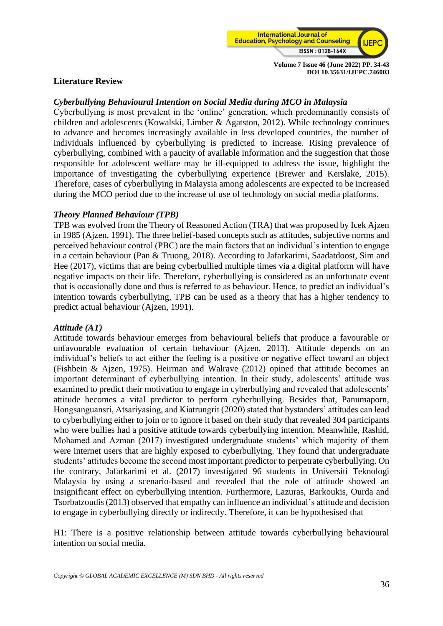

# **Literature Review**

# *Cyberbullying Behavioural Intention on Social Media during MCO in Malaysia*

Cyberbullying is most prevalent in the 'online' generation, which predominantly consists of children and adolescents (Kowalski, Limber & Agatston, 2012). While technology continues to advance and becomes increasingly available in less developed countries, the number of individuals influenced by cyberbullying is predicted to increase. Rising prevalence of cyberbullying, combined with a paucity of available information and the suggestion that those responsible for adolescent welfare may be ill-equipped to address the issue, highlight the importance of investigating the cyberbullying experience (Brewer and Kerslake, 2015). Therefore, cases of cyberbullying in Malaysia among adolescents are expected to be increased during the MCO period due to the increase of use of technology on social media platforms.

# *Theory Planned Behaviour (TPB)*

TPB was evolved from the Theory of Reasoned Action (TRA) that was proposed by Icek Ajzen in 1985 (Ajzen, 1991). The three belief-based concepts such as attitudes, subjective norms and perceived behaviour control (PBC) are the main factors that an individual's intention to engage in a certain behaviour (Pan & Truong, 2018). According to Jafarkarimi, Saadatdoost, Sim and Hee (2017), victims that are being cyberbullied multiple times via a digital platform will have negative impacts on their life. Therefore, cyberbullying is considered as an unfortunate event that is occasionally done and thus is referred to as behaviour. Hence, to predict an individual's intention towards cyberbullying, TPB can be used as a theory that has a higher tendency to predict actual behaviour (Ajzen, 1991).

# *Attitude (AT)*

Attitude towards behaviour emerges from behavioural beliefs that produce a favourable or unfavourable evaluation of certain behaviour (Ajzen, 2013). Attitude depends on an individual's beliefs to act either the feeling is a positive or negative effect toward an object (Fishbein & Ajzen, 1975). Heirman and Walrave (2012) opined that attitude becomes an important determinant of cyberbullying intention. In their study, adolescents' attitude was examined to predict their motivation to engage in cyberbullying and revealed that adolescents' attitude becomes a vital predictor to perform cyberbullying. Besides that, Panumaporn, Hongsanguansri, Atsariyasing, and Kiatrungrit (2020) stated that bystanders' attitudes can lead to cyberbullying either to join or to ignore it based on their study that revealed 304 participants who were bullies had a positive attitude towards cyberbullying intention. Meanwhile, Rashid, Mohamed and Azman (2017) investigated undergraduate students' which majority of them were internet users that are highly exposed to cyberbullying. They found that undergraduate students' attitudes become the second most important predictor to perpetrate cyberbullying. On the contrary, Jafarkarimi et al. (2017) investigated 96 students in Universiti Teknologi Malaysia by using a scenario-based and revealed that the role of attitude showed an insignificant effect on cyberbullying intention. Furthermore, Lazuras, Barkoukis, Ourda and Tsorbatzoudis (2013) observed that empathy can influence an individual's attitude and decision to engage in cyberbullying directly or indirectly. Therefore, it can be hypothesised that

H1: There is a positive relationship between attitude towards cyberbullying behavioural intention on social media.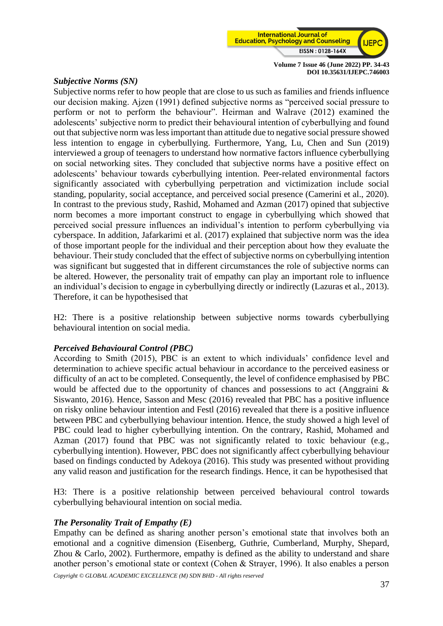

#### *Subjective Norms (SN)*

Subjective norms refer to how people that are close to us such as families and friends influence our decision making. Ajzen (1991) defined subjective norms as "perceived social pressure to perform or not to perform the behaviour". Heirman and Walrave (2012) examined the adolescents' subjective norm to predict their behavioural intention of cyberbullying and found out that subjective norm was less important than attitude due to negative social pressure showed less intention to engage in cyberbullying. Furthermore, Yang, Lu, Chen and Sun (2019) interviewed a group of teenagers to understand how normative factors influence cyberbullying on social networking sites. They concluded that subjective norms have a positive effect on adolescents' behaviour towards cyberbullying intention. Peer-related environmental factors significantly associated with cyberbullying perpetration and victimization include social standing, popularity, social acceptance, and perceived social presence (Camerini et al., 2020). In contrast to the previous study, Rashid, Mohamed and Azman (2017) opined that subjective norm becomes a more important construct to engage in cyberbullying which showed that perceived social pressure influences an individual's intention to perform cyberbullying via cyberspace. In addition, Jafarkarimi et al. (2017) explained that subjective norm was the idea of those important people for the individual and their perception about how they evaluate the behaviour. Their study concluded that the effect of subjective norms on cyberbullying intention was significant but suggested that in different circumstances the role of subjective norms can be altered. However, the personality trait of empathy can play an important role to influence an individual's decision to engage in cyberbullying directly or indirectly (Lazuras et al., 2013). Therefore, it can be hypothesised that

H2: There is a positive relationship between subjective norms towards cyberbullying behavioural intention on social media.

# *Perceived Behavioural Control (PBC)*

According to Smith (2015), PBC is an extent to which individuals' confidence level and determination to achieve specific actual behaviour in accordance to the perceived easiness or difficulty of an act to be completed. Consequently, the level of confidence emphasised by PBC would be affected due to the opportunity of chances and possessions to act (Anggraini & Siswanto, 2016). Hence, Sasson and Mesc (2016) revealed that PBC has a positive influence on risky online behaviour intention and Festl (2016) revealed that there is a positive influence between PBC and cyberbullying behaviour intention. Hence, the study showed a high level of PBC could lead to higher cyberbullying intention. On the contrary, Rashid, Mohamed and Azman (2017) found that PBC was not significantly related to toxic behaviour (e.g., cyberbullying intention). However, PBC does not significantly affect cyberbullying behaviour based on findings conducted by Adekoya (2016). This study was presented without providing any valid reason and justification for the research findings. Hence, it can be hypothesised that

H3: There is a positive relationship between perceived behavioural control towards cyberbullying behavioural intention on social media.

#### *The Personality Trait of Empathy (E)*

Empathy can be defined as sharing another person's emotional state that involves both an emotional and a cognitive dimension (Eisenberg, Guthrie, Cumberland, Murphy, Shepard, Zhou & Carlo, 2002). Furthermore, empathy is defined as the ability to understand and share another person's emotional state or context (Cohen & Strayer, 1996). It also enables a person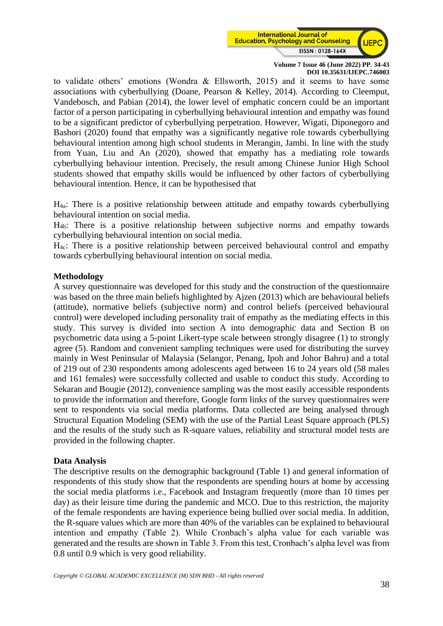

to validate others' emotions (Wondra & Ellsworth, 2015) and it seems to have some associations with cyberbullying (Doane, Pearson & Kelley, 2014). According to Cleemput, Vandebosch, and Pabian (2014), the lower level of emphatic concern could be an important factor of a person participating in cyberbullying behavioural intention and empathy was found to be a significant predictor of cyberbullying perpetration. However, Wigati, Diponegoro and Bashori (2020) found that empathy was a significantly negative role towards cyberbullying behavioural intention among high school students in Merangin, Jambi. In line with the study from Yuan, Liu and An (2020), showed that empathy has a mediating role towards cyberbullying behaviour intention. Precisely, the result among Chinese Junior High School students showed that empathy skills would be influenced by other factors of cyberbullying behavioural intention. Hence, it can be hypothesised that

H4a: There is a positive relationship between attitude and empathy towards cyberbullying behavioural intention on social media.

H4b: There is a positive relationship between subjective norms and empathy towards cyberbullying behavioural intention on social media.

H4c: There is a positive relationship between perceived behavioural control and empathy towards cyberbullying behavioural intention on social media.

#### **Methodology**

A survey questionnaire was developed for this study and the construction of the questionnaire was based on the three main beliefs highlighted by Ajzen (2013) which are behavioural beliefs (attitude), normative beliefs (subjective norm) and control beliefs (perceived behavioural control) were developed including personality trait of empathy as the mediating effects in this study. This survey is divided into section A into demographic data and Section B on psychometric data using a 5-point Likert-type scale between strongly disagree (1) to strongly agree (5). Random and convenient sampling techniques were used for distributing the survey mainly in West Peninsular of Malaysia (Selangor, Penang, Ipoh and Johor Bahru) and a total of 219 out of 230 respondents among adolescents aged between 16 to 24 years old (58 males and 161 females) were successfully collected and usable to conduct this study. According to Sekaran and Bougie (2012), convenience sampling was the most easily accessible respondents to provide the information and therefore, Google form links of the survey questionnaires were sent to respondents via social media platforms. Data collected are being analysed through Structural Equation Modeling (SEM) with the use of the Partial Least Square approach (PLS) and the results of the study such as R-square values, reliability and structural model tests are provided in the following chapter.

#### **Data Analysis**

The descriptive results on the demographic background (Table 1) and general information of respondents of this study show that the respondents are spending hours at home by accessing the social media platforms i.e., Facebook and Instagram frequently (more than 10 times per day) as their leisure time during the pandemic and MCO. Due to this restriction, the majority of the female respondents are having experience being bullied over social media. In addition, the R-square values which are more than 40% of the variables can be explained to behavioural intention and empathy (Table 2). While Cronbach's alpha value for each variable was generated and the results are shown in Table 3. From this test, Cronbach's alpha level was from 0.8 until 0.9 which is very good reliability.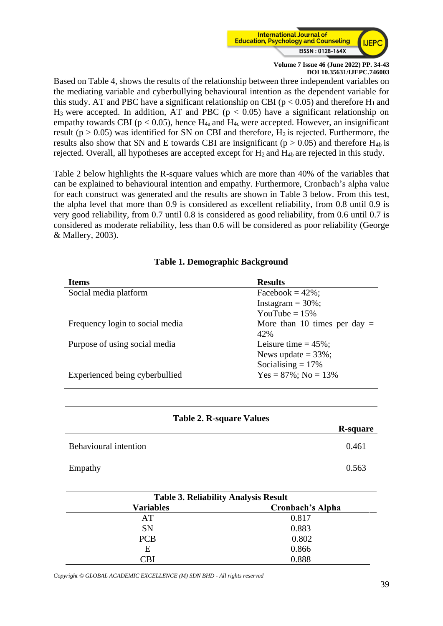

Based on Table 4, shows the results of the relationship between three independent variables on the mediating variable and cyberbullying behavioural intention as the dependent variable for this study. AT and PBC have a significant relationship on CBI ( $p < 0.05$ ) and therefore H<sub>1</sub> and  $H_3$  were accepted. In addition, AT and PBC ( $p < 0.05$ ) have a significant relationship on empathy towards CBI ( $p < 0.05$ ), hence H<sub>4a</sub> and H<sub>4c</sub> were accepted. However, an insignificant result ( $p > 0.05$ ) was identified for SN on CBI and therefore,  $H_2$  is rejected. Furthermore, the results also show that SN and E towards CBI are insignificant ( $p > 0.05$ ) and therefore H<sub>4b</sub> is rejected. Overall, all hypotheses are accepted except for  $H_2$  and  $H_{4b}$  are rejected in this study.

Table 2 below highlights the R-square values which are more than 40% of the variables that can be explained to behavioural intention and empathy. Furthermore, Cronbach's alpha value for each construct was generated and the results are shown in Table 3 below. From this test, the alpha level that more than 0.9 is considered as excellent reliability, from 0.8 until 0.9 is very good reliability, from 0.7 until 0.8 is considered as good reliability, from 0.6 until 0.7 is considered as moderate reliability, less than 0.6 will be considered as poor reliability (George & Mallery, 2003).

**Table 1. Demographic Background**

| Table 1. Demographic Background |                                |  |  |  |
|---------------------------------|--------------------------------|--|--|--|
| <b>Items</b>                    | <b>Results</b>                 |  |  |  |
| Social media platform           | Facebook = $42\%$ ;            |  |  |  |
|                                 | Instagram $=$ 30%;             |  |  |  |
|                                 | YouTube = $15\%$               |  |  |  |
| Frequency login to social media | More than 10 times per day $=$ |  |  |  |
|                                 | 42%                            |  |  |  |
| Purpose of using social media   | Leisure time $= 45\%$ ;        |  |  |  |
|                                 | News update $=$ 33%;           |  |  |  |
|                                 | Socialising $= 17\%$           |  |  |  |
| Experienced being cyberbullied  | $Yes = 87\%; No = 13\%$        |  |  |  |

| <b>Table 2. R-square Values</b> |                 |
|---------------------------------|-----------------|
|                                 | <b>R-square</b> |
| <b>Behavioural intention</b>    | 0.461           |
| Empathy                         | 0.563           |

| <b>Table 3. Reliability Analysis Result</b> |                         |  |  |
|---------------------------------------------|-------------------------|--|--|
| <b>Variables</b>                            | <b>Cronbach's Alpha</b> |  |  |
| AT                                          | 0.817                   |  |  |
| <b>SN</b>                                   | 0.883                   |  |  |
| <b>PCB</b>                                  | 0.802                   |  |  |
| Е                                           | 0.866                   |  |  |
| 'Bl                                         | 0.888                   |  |  |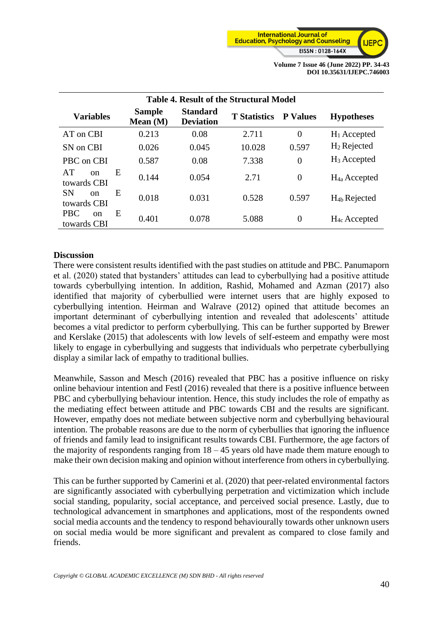

| <b>Table 4. Result of the Structural Model</b>  |                             |                                     |                     |                 |                          |  |
|-------------------------------------------------|-----------------------------|-------------------------------------|---------------------|-----------------|--------------------------|--|
| <b>Variables</b>                                | <b>Sample</b><br>Mean $(M)$ | <b>Standard</b><br><b>Deviation</b> | <b>T</b> Statistics | <b>P</b> Values | <b>Hypotheses</b>        |  |
| AT on CBI                                       | 0.213                       | 0.08                                | 2.711               | $\theta$        | $H_1$ Accepted           |  |
| SN on CBI                                       | 0.026                       | 0.045                               | 10.028              | 0.597           | $H_2$ Rejected           |  |
| PBC on CBI                                      | 0.587                       | 0.08                                | 7.338               | $\overline{0}$  | $H_3$ Accepted           |  |
| AT<br>E<br><sub>on</sub><br>towards CBI         | 0.144                       | 0.054                               | 2.71                | $\overline{0}$  | $H_{4a}$ Accepted        |  |
| <b>SN</b><br>E<br>$\alpha$<br>towards CBI       | 0.018                       | 0.031                               | 0.528               | 0.597           | H <sub>4b</sub> Rejected |  |
| <b>PBC</b><br>E<br><sub>on</sub><br>towards CBI | 0.401                       | 0.078                               | 5.088               | $\overline{0}$  | $H_{4c}$ Accepted        |  |

# **Discussion**

There were consistent results identified with the past studies on attitude and PBC. Panumaporn et al. (2020) stated that bystanders' attitudes can lead to cyberbullying had a positive attitude towards cyberbullying intention. In addition, Rashid, Mohamed and Azman (2017) also identified that majority of cyberbullied were internet users that are highly exposed to cyberbullying intention. Heirman and Walrave (2012) opined that attitude becomes an important determinant of cyberbullying intention and revealed that adolescents' attitude becomes a vital predictor to perform cyberbullying. This can be further supported by Brewer and Kerslake (2015) that adolescents with low levels of self-esteem and empathy were most likely to engage in cyberbullying and suggests that individuals who perpetrate cyberbullying display a similar lack of empathy to traditional bullies.

Meanwhile, Sasson and Mesch (2016) revealed that PBC has a positive influence on risky online behaviour intention and Festl (2016) revealed that there is a positive influence between PBC and cyberbullying behaviour intention. Hence, this study includes the role of empathy as the mediating effect between attitude and PBC towards CBI and the results are significant. However, empathy does not mediate between subjective norm and cyberbullying behavioural intention. The probable reasons are due to the norm of cyberbullies that ignoring the influence of friends and family lead to insignificant results towards CBI. Furthermore, the age factors of the majority of respondents ranging from  $18 - 45$  years old have made them mature enough to make their own decision making and opinion without interference from others in cyberbullying.

This can be further supported by Camerini et al. (2020) that peer-related environmental factors are significantly associated with cyberbullying perpetration and victimization which include social standing, popularity, social acceptance, and perceived social presence. Lastly, due to technological advancement in smartphones and applications, most of the respondents owned social media accounts and the tendency to respond behaviourally towards other unknown users on social media would be more significant and prevalent as compared to close family and friends.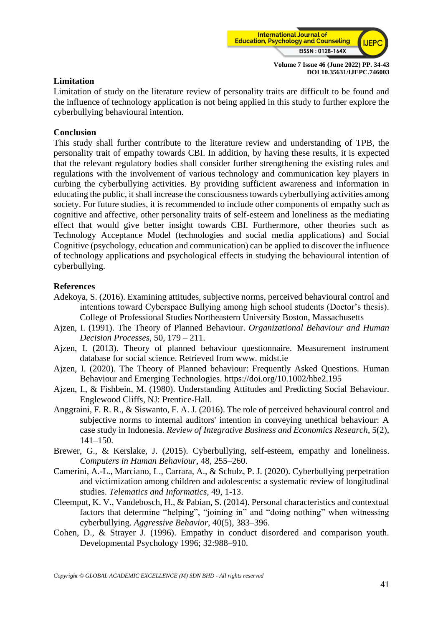

# **Limitation**

Limitation of study on the literature review of personality traits are difficult to be found and the influence of technology application is not being applied in this study to further explore the cyberbullying behavioural intention.

#### **Conclusion**

This study shall further contribute to the literature review and understanding of TPB, the personality trait of empathy towards CBI. In addition, by having these results, it is expected that the relevant regulatory bodies shall consider further strengthening the existing rules and regulations with the involvement of various technology and communication key players in curbing the cyberbullying activities. By providing sufficient awareness and information in educating the public, it shall increase the consciousness towards cyberbullying activities among society. For future studies, it is recommended to include other components of empathy such as cognitive and affective, other personality traits of self-esteem and loneliness as the mediating effect that would give better insight towards CBI. Furthermore, other theories such as Technology Acceptance Model (technologies and social media applications) and Social Cognitive (psychology, education and communication) can be applied to discover the influence of technology applications and psychological effects in studying the behavioural intention of cyberbullying.

#### **References**

- Adekoya, S. (2016). Examining attitudes, subjective norms, perceived behavioural control and intentions toward Cyberspace Bullying among high school students (Doctor's thesis). College of Professional Studies Northeastern University Boston, Massachusetts
- Ajzen, I. (1991). The Theory of Planned Behaviour. *Organizational Behaviour and Human Decision Processes*, 50, 179 – 211.
- Ajzen, I. (2013). Theory of planned behaviour questionnaire. Measurement instrument database for social science. Retrieved from www. midst.ie
- Ajzen, I. (2020). The Theory of Planned behaviour: Frequently Asked Questions. Human Behaviour and Emerging Technologies. https://doi.org/10.1002/hbe2.195
- Ajzen, I., & Fishbein, M. (1980). Understanding Attitudes and Predicting Social Behaviour. Englewood Cliffs, NJ: Prentice-Hall.
- Anggraini, F. R. R., & Siswanto, F. A. J. (2016). The role of perceived behavioural control and subjective norms to internal auditors' intention in conveying unethical behaviour: A case study in Indonesia. *Review of Integrative Business and Economics Research*, 5(2), 141–150.
- Brewer, G., & Kerslake, J. (2015). Cyberbullying, self-esteem, empathy and loneliness. *Computers in Human Behaviour*, 48, 255–260.
- Camerini, A.-L., Marciano, L., Carrara, A., & Schulz, P. J. (2020). Cyberbullying perpetration and victimization among children and adolescents: a systematic review of longitudinal studies. *Telematics and Informatics,* 49, 1-13.
- Cleemput, K. V., Vandebosch, H., & Pabian, S. (2014). Personal characteristics and contextual factors that determine "helping", "joining in" and "doing nothing" when witnessing cyberbullying. *Aggressive Behavior*, 40(5), 383–396.
- Cohen, D., & Strayer J. (1996). Empathy in conduct disordered and comparison youth. Developmental Psychology 1996; 32:988–910.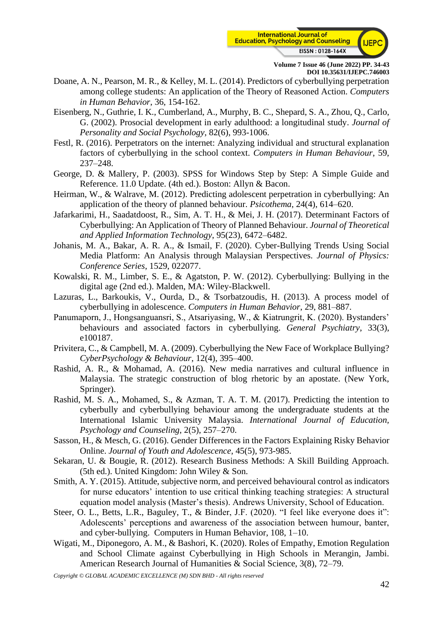

- Doane, A. N., Pearson, M. R., & Kelley, M. L. (2014). Predictors of cyberbullying perpetration among college students: An application of the Theory of Reasoned Action. *Computers in Human Behavior*, 36, 154-162.
- Eisenberg, N., Guthrie, I. K., Cumberland, A., Murphy, B. C., Shepard, S. A., Zhou, Q., Carlo, G. (2002). Prosocial development in early adulthood: a longitudinal study. *Journal of Personality and Social Psychology*, 82(6), 993-1006.
- Festl, R. (2016). Perpetrators on the internet: Analyzing individual and structural explanation factors of cyberbullying in the school context. *Computers in Human Behaviour*, 59, 237–248.
- George, D. & Mallery, P. (2003). SPSS for Windows Step by Step: A Simple Guide and Reference. 11.0 Update. (4th ed.). Boston: Allyn & Bacon.
- Heirman, W., & Walrave, M. (2012). Predicting adolescent perpetration in cyberbullying: An application of the theory of planned behaviour. *Psicothema*, 24(4), 614–620.
- Jafarkarimi, H., Saadatdoost, R., Sim, A. T. H., & Mei, J. H. (2017). Determinant Factors of Cyberbullying: An Application of Theory of Planned Behaviour. *Journal of Theoretical and Applied Information Technology*, 95(23), 6472–6482.
- Johanis, M. A., Bakar, A. R. A., & Ismail, F. (2020). Cyber-Bullying Trends Using Social Media Platform: An Analysis through Malaysian Perspectives. *Journal of Physics: Conference Series*, 1529, 022077.
- Kowalski, R. M., Limber, S. E., & Agatston, P. W. (2012). Cyberbullying: Bullying in the digital age (2nd ed.). Malden, MA: Wiley-Blackwell.
- Lazuras, L., Barkoukis, V., Ourda, D., & Tsorbatzoudis, H. (2013). A process model of cyberbullying in adolescence. *Computers in Human Behavior*, 29, 881–887.
- Panumaporn, J., Hongsanguansri, S., Atsariyasing, W., & Kiatrungrit, K. (2020). Bystanders' behaviours and associated factors in cyberbullying. *General Psychiatry*, 33(3), e100187.
- Privitera, C., & Campbell, M. A. (2009). Cyberbullying the New Face of Workplace Bullying? *CyberPsychology & Behaviour*, 12(4), 395–400.
- Rashid, A. R., & Mohamad, A. (2016). New media narratives and cultural influence in Malaysia. The strategic construction of blog rhetoric by an apostate. (New York, Springer).
- Rashid, M. S. A., Mohamed, S., & Azman, T. A. T. M. (2017). Predicting the intention to cyberbully and cyberbullying behaviour among the undergraduate students at the International Islamic University Malaysia. *International Journal of Education, Psychology and Counseling*, 2(5), 257–270.
- Sasson, H., & Mesch, G. (2016). Gender Differences in the Factors Explaining Risky Behavior Online. *Journal of Youth and Adolescence*, 45(5), 973-985.
- Sekaran, U. & Bougie, R. (2012). Research Business Methods: A Skill Building Approach. (5th ed.). United Kingdom: John Wiley & Son.
- Smith, A. Y. (2015). Attitude, subjective norm, and perceived behavioural control as indicators for nurse educators' intention to use critical thinking teaching strategies: A structural equation model analysis (Master's thesis). Andrews University, School of Education.
- Steer, O. L., Betts, L.R., Baguley, T., & Binder, J.F. (2020). "I feel like everyone does it": Adolescents' perceptions and awareness of the association between humour, banter, and cyber-bullying. Computers in Human Behavior, 108, 1–10.
- Wigati, M., Diponegoro, A. M., & Bashori, K. (2020). Roles of Empathy, Emotion Regulation and School Climate against Cyberbullying in High Schools in Merangin, Jambi. American Research Journal of Humanities & Social Science, 3(8), 72–79.